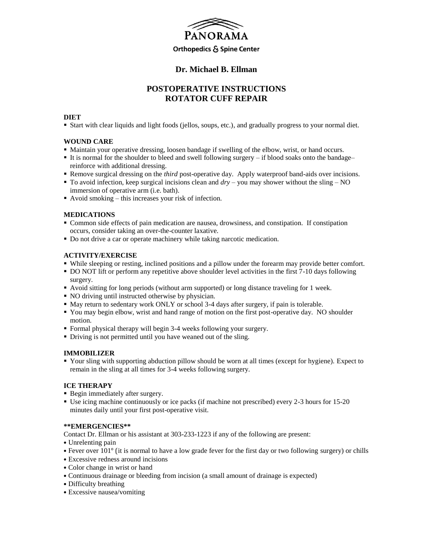

### **Dr. Michael B. Ellman**

## **POSTOPERATIVE INSTRUCTIONS ROTATOR CUFF REPAIR**

### **DIET**

Start with clear liquids and light foods (jellos, soups, etc.), and gradually progress to your normal diet.

### **WOUND CARE**

- Maintain your operative dressing, loosen bandage if swelling of the elbow, wrist, or hand occurs.
- It is normal for the shoulder to bleed and swell following surgery if blood soaks onto the bandage– reinforce with additional dressing.
- **Remove surgical dressing on the** *third* **post-operative day. Apply waterproof band-aids over incisions.**
- To avoid infection, keep surgical incisions clean and *dry* you may shower without the sling NO immersion of operative arm (i.e. bath).
- Avoid smoking this increases your risk of infection.

#### **MEDICATIONS**

- Common side effects of pain medication are nausea, drowsiness, and constipation. If constipation occurs, consider taking an over-the-counter laxative.
- Do not drive a car or operate machinery while taking narcotic medication.

#### **ACTIVITY/EXERCISE**

- While sleeping or resting, inclined positions and a pillow under the forearm may provide better comfort.
- DO NOT lift or perform any repetitive above shoulder level activities in the first 7-10 days following surgery.
- Avoid sitting for long periods (without arm supported) or long distance traveling for 1 week.
- NO driving until instructed otherwise by physician.
- $\blacksquare$  May return to sedentary work ONLY or school 3-4 days after surgery, if pain is tolerable.
- You may begin elbow, wrist and hand range of motion on the first post-operative day. NO shoulder motion.
- Formal physical therapy will begin 3-4 weeks following your surgery.
- Driving is not permitted until you have weaned out of the sling.

#### **IMMOBILIZER**

 Your sling with supporting abduction pillow should be worn at all times (except for hygiene). Expect to remain in the sling at all times for 3-4 weeks following surgery.

#### **ICE THERAPY**

- Begin immediately after surgery.
- Use icing machine continuously or ice packs (if machine not prescribed) every 2-3 hours for 15-20 minutes daily until your first post-operative visit.

#### **\*\*EMERGENCIES\*\***

Contact Dr. Ellman or his assistant at 303-233-1223 if any of the following are present:

- Unrelenting pain
- Fever over 101° (it is normal to have a low grade fever for the first day or two following surgery) or chills
- Excessive redness around incisions
- Color change in wrist or hand
- Continuous drainage or bleeding from incision (a small amount of drainage is expected)
- Difficulty breathing
- Excessive nausea/vomiting